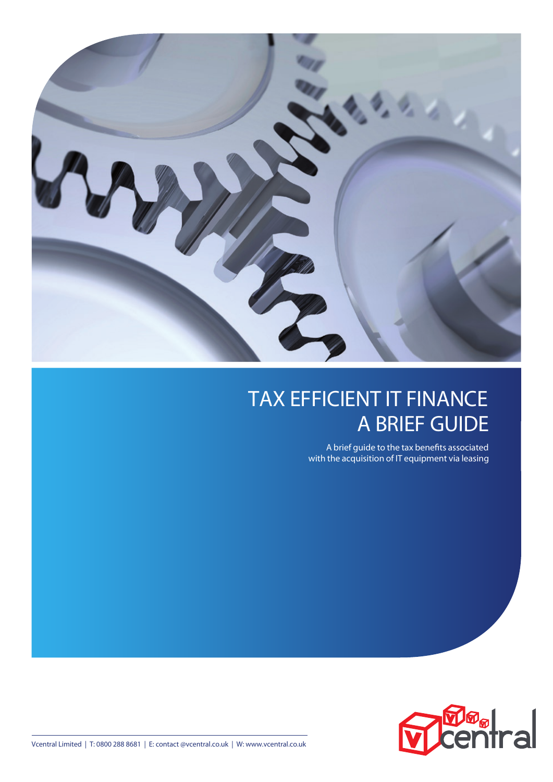

# TAX EFFICIENT IT FINANCE A BRIEF GUIDE

A brief guide to the tax benefits associated with the acquisition of IT equipment via leasing